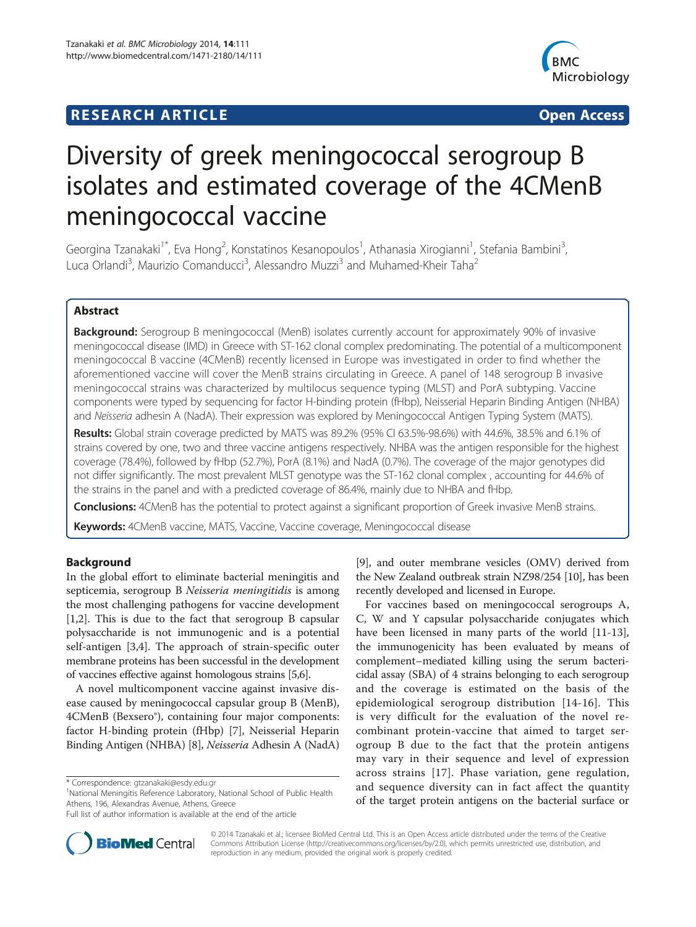# **RESEARCH ARTICLE Example 2014 CONSIDERING CONSIDERING CONSIDERING CONSIDERING CONSIDERING CONSIDERING CONSIDERING CONSIDERING CONSIDERING CONSIDERING CONSIDERING CONSIDERING CONSIDERING CONSIDERING CONSIDERING CONSIDE**



# Diversity of greek meningococcal serogroup B isolates and estimated coverage of the 4CMenB meningococcal vaccine

Georgina Tzanakaki<sup>1\*</sup>, Eva Hong<sup>2</sup>, Konstatinos Kesanopoulos<sup>1</sup>, Athanasia Xirogianni<sup>1</sup>, Stefania Bambini<sup>3</sup> , Luca Orlandi<sup>3</sup>, Maurizio Comanducci<sup>3</sup>, Alessandro Muzzi<sup>3</sup> and Muhamed-Kheir Taha<sup>2</sup>

# Abstract

Background: Serogroup B meningococcal (MenB) isolates currently account for approximately 90% of invasive meningococcal disease (IMD) in Greece with ST-162 clonal complex predominating. The potential of a multicomponent meningococcal B vaccine (4CMenB) recently licensed in Europe was investigated in order to find whether the aforementioned vaccine will cover the MenB strains circulating in Greece. A panel of 148 serogroup B invasive meningococcal strains was characterized by multilocus sequence typing (MLST) and PorA subtyping. Vaccine components were typed by sequencing for factor H-binding protein (fHbp), Neisserial Heparin Binding Antigen (NHBA) and Neisseria adhesin A (NadA). Their expression was explored by Meningococcal Antigen Typing System (MATS).

Results: Global strain coverage predicted by MATS was 89.2% (95% CI 63.5%-98.6%) with 44.6%, 38.5% and 6.1% of strains covered by one, two and three vaccine antigens respectively. NHBA was the antigen responsible for the highest coverage (78.4%), followed by fHbp (52.7%), PorA (8.1%) and NadA (0.7%). The coverage of the major genotypes did not differ significantly. The most prevalent MLST genotype was the ST-162 clonal complex , accounting for 44.6% of the strains in the panel and with a predicted coverage of 86.4%, mainly due to NHBA and fHbp.

Conclusions: 4CMenB has the potential to protect against a significant proportion of Greek invasive MenB strains.

Keywords: 4CMenB vaccine, MATS, Vaccine, Vaccine coverage, Meningococcal disease

# Background

In the global effort to eliminate bacterial meningitis and septicemia, serogroup B Neisseria meningitidis is among the most challenging pathogens for vaccine development [[1,2\]](#page-5-0). This is due to the fact that serogroup B capsular polysaccharide is not immunogenic and is a potential self-antigen [\[3,4](#page-5-0)]. The approach of strain-specific outer membrane proteins has been successful in the development of vaccines effective against homologous strains [[5,6](#page-5-0)].

A novel multicomponent vaccine against invasive disease caused by meningococcal capsular group B (MenB), 4CMenB (Bexsero®), containing four major components: factor H-binding protein (fHbp) [\[7\]](#page-5-0), Neisserial Heparin Binding Antigen (NHBA) [\[8](#page-5-0)], Neisseria Adhesin A (NadA)

<sup>1</sup>National Meningitis Reference Laboratory, National School of Public Health Athens, 196, Alexandras Avenue, Athens, Greece

[[9\]](#page-5-0), and outer membrane vesicles (OMV) derived from the New Zealand outbreak strain NZ98/254 [\[10\]](#page-5-0), has been recently developed and licensed in Europe.

For vaccines based on meningococcal serogroups A, C, W and Y capsular polysaccharide conjugates which have been licensed in many parts of the world [\[11-13](#page-5-0)], the immunogenicity has been evaluated by means of complement–mediated killing using the serum bactericidal assay (SBA) of 4 strains belonging to each serogroup and the coverage is estimated on the basis of the epidemiological serogroup distribution [\[14-16\]](#page-5-0). This is very difficult for the evaluation of the novel recombinant protein-vaccine that aimed to target serogroup B due to the fact that the protein antigens may vary in their sequence and level of expression across strains [[17\]](#page-5-0). Phase variation, gene regulation, and sequence diversity can in fact affect the quantity of the target protein antigens on the bacterial surface or



© 2014 Tzanakaki et al.; licensee BioMed Central Ltd. This is an Open Access article distributed under the terms of the Creative Commons Attribution License [\(http://creativecommons.org/licenses/by/2.0\)](http://creativecommons.org/licenses/by/2.0), which permits unrestricted use, distribution, and reproduction in any medium, provided the original work is properly credited.

<sup>\*</sup> Correspondence: [gtzanakaki@esdy.edu.gr](mailto:gtzanakaki@esdy.edu.gr) <sup>1</sup>

Full list of author information is available at the end of the article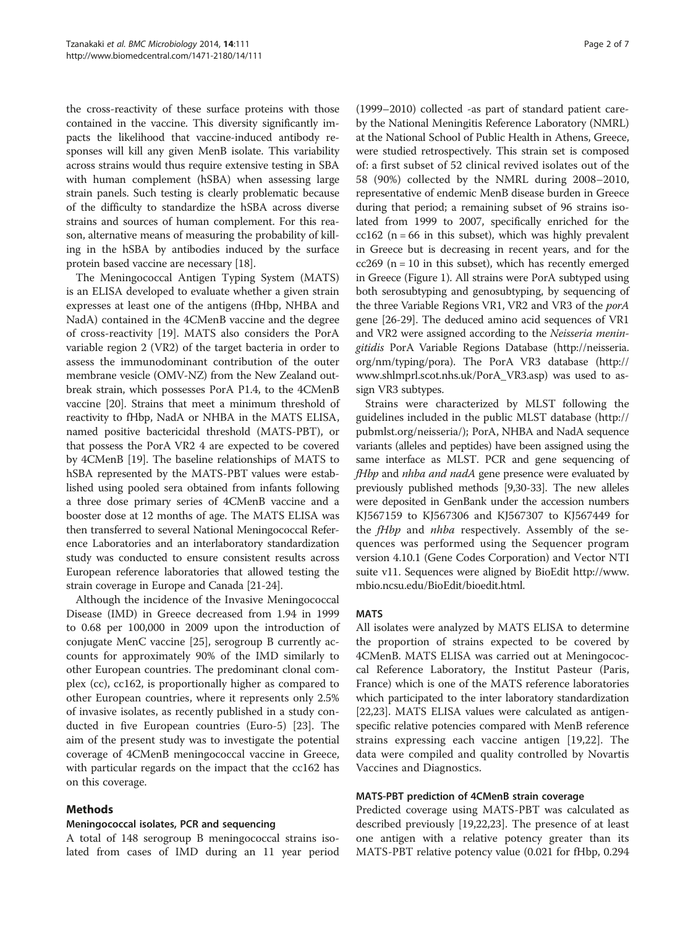the cross-reactivity of these surface proteins with those contained in the vaccine. This diversity significantly impacts the likelihood that vaccine-induced antibody responses will kill any given MenB isolate. This variability across strains would thus require extensive testing in SBA with human complement (hSBA) when assessing large strain panels. Such testing is clearly problematic because of the difficulty to standardize the hSBA across diverse strains and sources of human complement. For this reason, alternative means of measuring the probability of killing in the hSBA by antibodies induced by the surface protein based vaccine are necessary [\[18\]](#page-6-0).

The Meningococcal Antigen Typing System (MATS) is an ELISA developed to evaluate whether a given strain expresses at least one of the antigens (fHbp, NHBA and NadA) contained in the 4CMenB vaccine and the degree of cross-reactivity [\[19\]](#page-6-0). MATS also considers the PorA variable region 2 (VR2) of the target bacteria in order to assess the immunodominant contribution of the outer membrane vesicle (OMV-NZ) from the New Zealand outbreak strain, which possesses PorA P1.4, to the 4CMenB vaccine [\[20](#page-6-0)]. Strains that meet a minimum threshold of reactivity to fHbp, NadA or NHBA in the MATS ELISA, named positive bactericidal threshold (MATS-PBT), or that possess the PorA VR2 4 are expected to be covered by 4CMenB [\[19\]](#page-6-0). The baseline relationships of MATS to hSBA represented by the MATS-PBT values were established using pooled sera obtained from infants following a three dose primary series of 4CMenB vaccine and a booster dose at 12 months of age. The MATS ELISA was then transferred to several National Meningococcal Reference Laboratories and an interlaboratory standardization study was conducted to ensure consistent results across European reference laboratories that allowed testing the strain coverage in Europe and Canada [\[21-24\]](#page-6-0).

Although the incidence of the Invasive Meningococcal Disease (IMD) in Greece decreased from 1.94 in 1999 to 0.68 per 100,000 in 2009 upon the introduction of conjugate MenC vaccine [\[25](#page-6-0)], serogroup B currently accounts for approximately 90% of the IMD similarly to other European countries. The predominant clonal complex (cc), cc162, is proportionally higher as compared to other European countries, where it represents only 2.5% of invasive isolates, as recently published in a study conducted in five European countries (Euro-5) [[23\]](#page-6-0). The aim of the present study was to investigate the potential coverage of 4CMenB meningococcal vaccine in Greece, with particular regards on the impact that the cc162 has on this coverage.

# Methods

# Meningococcal isolates, PCR and sequencing

A total of 148 serogroup B meningococcal strains isolated from cases of IMD during an 11 year period

(1999–2010) collected -as part of standard patient careby the National Meningitis Reference Laboratory (NMRL) at the National School of Public Health in Athens, Greece, were studied retrospectively. This strain set is composed of: a first subset of 52 clinical revived isolates out of the 58 (90%) collected by the NMRL during 2008–2010, representative of endemic MenB disease burden in Greece during that period; a remaining subset of 96 strains isolated from 1999 to 2007, specifically enriched for the  $cc162$  (n = 66 in this subset), which was highly prevalent in Greece but is decreasing in recent years, and for the  $cc269$  (n = 10 in this subset), which has recently emerged in Greece (Figure [1\)](#page-2-0). All strains were PorA subtyped using both serosubtyping and genosubtyping, by sequencing of the three Variable Regions VR1, VR2 and VR3 of the porA gene [[26-29\]](#page-6-0). The deduced amino acid sequences of VR1 and VR2 were assigned according to the Neisseria meningitidis PorA Variable Regions Database ([http://neisseria.](http://neisseria.org/nm/typing/pora) [org/nm/typing/pora\)](http://neisseria.org/nm/typing/pora). The PorA VR3 database ([http://](http://www.shlmprl.scot.nhs.uk/PorA_VR3.asp) [www.shlmprl.scot.nhs.uk/PorA\\_VR3.asp](http://www.shlmprl.scot.nhs.uk/PorA_VR3.asp)) was used to assign VR3 subtypes.

Strains were characterized by MLST following the guidelines included in the public MLST database [\(http://](http://pubmlst.org/neisseria/) [pubmlst.org/neisseria/\)](http://pubmlst.org/neisseria/); PorA, NHBA and NadA sequence variants (alleles and peptides) have been assigned using the same interface as MLST. PCR and gene sequencing of fHbp and nhba and nadA gene presence were evaluated by previously published methods [\[9](#page-5-0)[,30-33\]](#page-6-0). The new alleles were deposited in GenBank under the accession numbers KJ567159 to KJ567306 and KJ567307 to KJ567449 for the fHbp and nhba respectively. Assembly of the sequences was performed using the Sequencer program version 4.10.1 (Gene Codes Corporation) and Vector NTI suite v11. Sequences were aligned by BioEdit [http://www.](http://www.mbio.ncsu.edu/BioEdit/bioedit.html) [mbio.ncsu.edu/BioEdit/bioedit.html](http://www.mbio.ncsu.edu/BioEdit/bioedit.html).

# MATS

All isolates were analyzed by MATS ELISA to determine the proportion of strains expected to be covered by 4CMenB. MATS ELISA was carried out at Meningococcal Reference Laboratory, the Institut Pasteur (Paris, France) which is one of the MATS reference laboratories which participated to the inter laboratory standardization [[22](#page-6-0),[23](#page-6-0)]. MATS ELISA values were calculated as antigenspecific relative potencies compared with MenB reference strains expressing each vaccine antigen [[19,22\]](#page-6-0). The data were compiled and quality controlled by Novartis Vaccines and Diagnostics.

# MATS-PBT prediction of 4CMenB strain coverage

Predicted coverage using MATS-PBT was calculated as described previously [[19](#page-6-0),[22,23](#page-6-0)]. The presence of at least one antigen with a relative potency greater than its MATS-PBT relative potency value (0.021 for fHbp, 0.294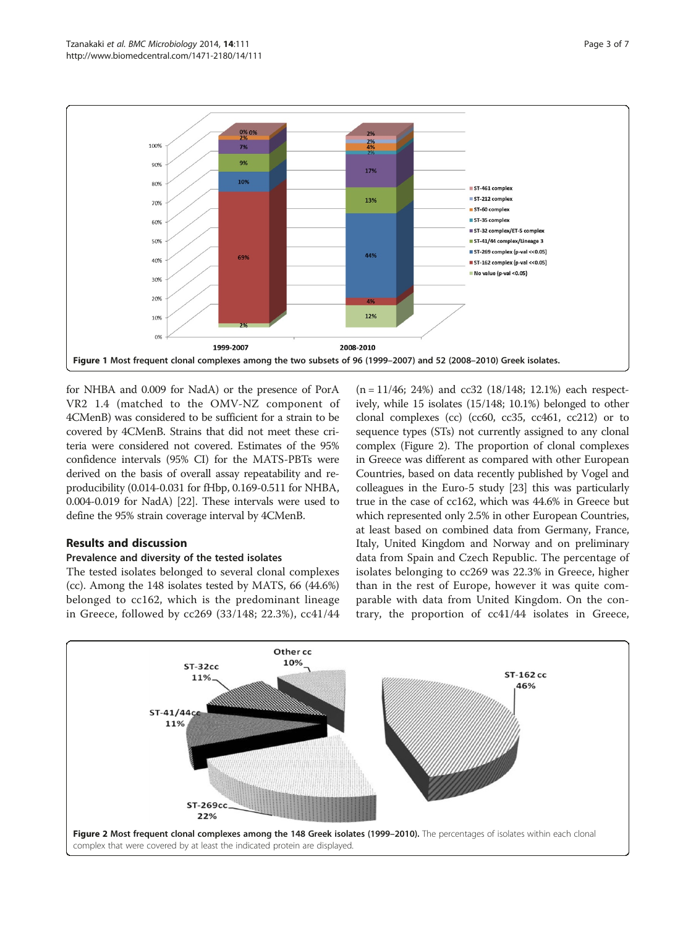<span id="page-2-0"></span>

for NHBA and 0.009 for NadA) or the presence of PorA VR2 1.4 (matched to the OMV-NZ component of 4CMenB) was considered to be sufficient for a strain to be covered by 4CMenB. Strains that did not meet these criteria were considered not covered. Estimates of the 95% confidence intervals (95% CI) for the MATS-PBTs were derived on the basis of overall assay repeatability and reproducibility (0.014-0.031 for fHbp, 0.169-0.511 for NHBA, 0.004-0.019 for NadA) [[22](#page-6-0)]. These intervals were used to define the 95% strain coverage interval by 4CMenB.

# Results and discussion

# Prevalence and diversity of the tested isolates

The tested isolates belonged to several clonal complexes (cc). Among the 148 isolates tested by MATS, 66 (44.6%) belonged to cc162, which is the predominant lineage in Greece, followed by cc269 (33/148; 22.3%), cc41/44

 $(n = 11/46; 24%)$  and cc32 (18/148; 12.1%) each respectively, while 15 isolates (15/148; 10.1%) belonged to other clonal complexes (cc) (cc60, cc35, cc461, cc212) or to sequence types (STs) not currently assigned to any clonal complex (Figure 2). The proportion of clonal complexes in Greece was different as compared with other European Countries, based on data recently published by Vogel and colleagues in the Euro-5 study [[23](#page-6-0)] this was particularly true in the case of cc162, which was 44.6% in Greece but which represented only 2.5% in other European Countries, at least based on combined data from Germany, France, Italy, United Kingdom and Norway and on preliminary data from Spain and Czech Republic. The percentage of isolates belonging to cc269 was 22.3% in Greece, higher than in the rest of Europe, however it was quite comparable with data from United Kingdom. On the contrary, the proportion of cc41/44 isolates in Greece,

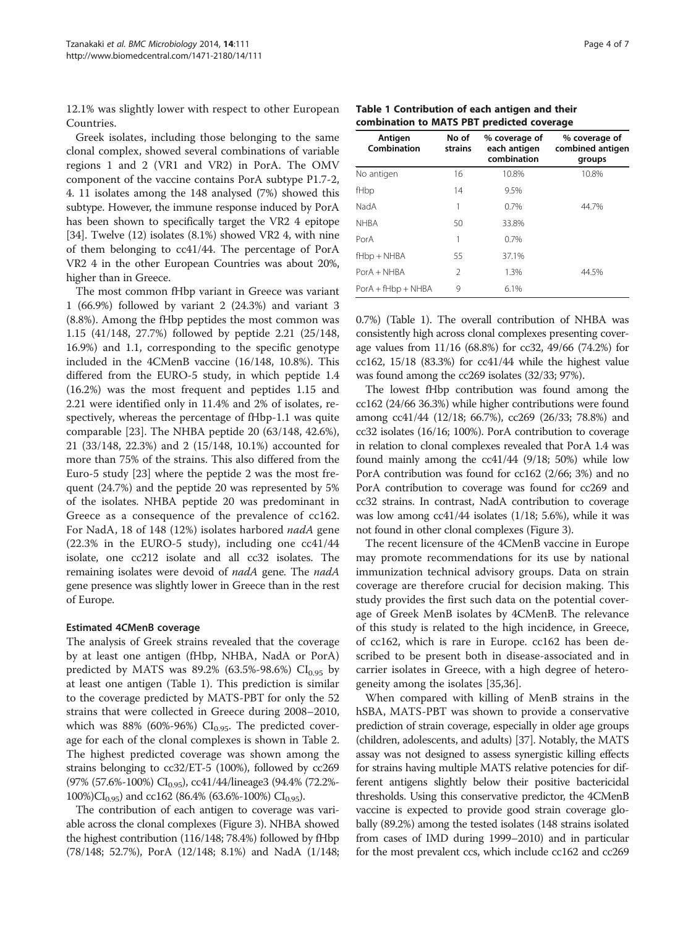12.1% was slightly lower with respect to other European Countries.

Greek isolates, including those belonging to the same clonal complex, showed several combinations of variable regions 1 and 2 (VR1 and VR2) in PorA. The OMV component of the vaccine contains PorA subtype P1.7-2, 4. 11 isolates among the 148 analysed (7%) showed this subtype. However, the immune response induced by PorA has been shown to specifically target the VR2 4 epitope [[34](#page-6-0)]. Twelve (12) isolates (8.1%) showed VR2 4, with nine of them belonging to cc41/44. The percentage of PorA VR2 4 in the other European Countries was about 20%, higher than in Greece.

The most common fHbp variant in Greece was variant 1 (66.9%) followed by variant 2 (24.3%) and variant 3 (8.8%). Among the fHbp peptides the most common was 1.15 (41/148, 27.7%) followed by peptide 2.21 (25/148, 16.9%) and 1.1, corresponding to the specific genotype included in the 4CMenB vaccine (16/148, 10.8%). This differed from the EURO-5 study, in which peptide 1.4 (16.2%) was the most frequent and peptides 1.15 and 2.21 were identified only in 11.4% and 2% of isolates, respectively, whereas the percentage of fHbp-1.1 was quite comparable [\[23](#page-6-0)]. The NHBA peptide 20 (63/148, 42.6%), 21 (33/148, 22.3%) and 2 (15/148, 10.1%) accounted for more than 75% of the strains. This also differed from the Euro-5 study [\[23](#page-6-0)] where the peptide 2 was the most frequent (24.7%) and the peptide 20 was represented by 5% of the isolates. NHBA peptide 20 was predominant in Greece as a consequence of the prevalence of cc162. For NadA, 18 of 148 (12%) isolates harbored nadA gene (22.3% in the EURO-5 study), including one cc41/44 isolate, one cc212 isolate and all cc32 isolates. The remaining isolates were devoid of nadA gene. The nadA gene presence was slightly lower in Greece than in the rest of Europe.

#### Estimated 4CMenB coverage

The analysis of Greek strains revealed that the coverage by at least one antigen (fHbp, NHBA, NadA or PorA) predicted by MATS was 89.2% (63.5%-98.6%)  $CI_{0.95}$  by at least one antigen (Table 1). This prediction is similar to the coverage predicted by MATS-PBT for only the 52 strains that were collected in Greece during 2008–2010, which was 88% (60%-96%)  $CI<sub>0.95</sub>$ . The predicted coverage for each of the clonal complexes is shown in Table [2](#page-4-0). The highest predicted coverage was shown among the strains belonging to cc32/ET-5 (100%), followed by cc269  $(97\% (57.6\% -100\%) CI_{0.95}$ , cc41/44/lineage3 (94.4% (72.2%- $100\%$ )CI<sub>0.95</sub>) and cc162 (86.4% (63.6%-100%) CI<sub>0.95</sub>).

The contribution of each antigen to coverage was variable across the clonal complexes (Figure [3\)](#page-4-0). NHBA showed the highest contribution (116/148; 78.4%) followed by fHbp (78/148; 52.7%), PorA (12/148; 8.1%) and NadA (1/148;

| Antigen<br>Combination | No of<br>strains | % coverage of<br>each antigen<br>combination | % coverage of<br>combined antigen<br>groups |
|------------------------|------------------|----------------------------------------------|---------------------------------------------|
| No antigen             | 16               | 10.8%                                        | 10.8%                                       |
| fHbp                   | 14               | 9.5%                                         |                                             |
| NadA                   | 1                | 0.7%                                         | 44.7%                                       |
| <b>NHBA</b>            | 50               | 33.8%                                        |                                             |
| PorA                   | 1                | 0.7%                                         |                                             |
| $fHbp + NHBA$          | 55               | 37.1%                                        |                                             |
| $PorA + NHBA$          | $\mathcal{P}$    | 1.3%                                         | 44.5%                                       |
| $PorA + fHbp + NHBA$   | 9                | $6.1\%$                                      |                                             |

0.7%) (Table 1). The overall contribution of NHBA was consistently high across clonal complexes presenting coverage values from 11/16 (68.8%) for cc32, 49/66 (74.2%) for cc162, 15/18 (83.3%) for cc41/44 while the highest value was found among the cc269 isolates (32/33; 97%).

The lowest fHbp contribution was found among the cc162 (24/66 36.3%) while higher contributions were found among cc41/44 (12/18; 66.7%), cc269 (26/33; 78.8%) and cc32 isolates (16/16; 100%). PorA contribution to coverage in relation to clonal complexes revealed that PorA 1.4 was found mainly among the cc41/44 (9/18; 50%) while low PorA contribution was found for cc162 (2/66; 3%) and no PorA contribution to coverage was found for cc269 and cc32 strains. In contrast, NadA contribution to coverage was low among cc41/44 isolates (1/18; 5.6%), while it was not found in other clonal complexes (Figure [3\)](#page-4-0).

The recent licensure of the 4CMenB vaccine in Europe may promote recommendations for its use by national immunization technical advisory groups. Data on strain coverage are therefore crucial for decision making. This study provides the first such data on the potential coverage of Greek MenB isolates by 4CMenB. The relevance of this study is related to the high incidence, in Greece, of cc162, which is rare in Europe. cc162 has been described to be present both in disease-associated and in carrier isolates in Greece, with a high degree of heterogeneity among the isolates [\[35,36\]](#page-6-0).

When compared with killing of MenB strains in the hSBA, MATS-PBT was shown to provide a conservative prediction of strain coverage, especially in older age groups (children, adolescents, and adults) [\[37](#page-6-0)]. Notably, the MATS assay was not designed to assess synergistic killing effects for strains having multiple MATS relative potencies for different antigens slightly below their positive bactericidal thresholds. Using this conservative predictor, the 4CMenB vaccine is expected to provide good strain coverage globally (89.2%) among the tested isolates (148 strains isolated from cases of IMD during 1999–2010) and in particular for the most prevalent ccs, which include cc162 and cc269

Table 1 Contribution of each antigen and their combination to MATS PBT predicted coverage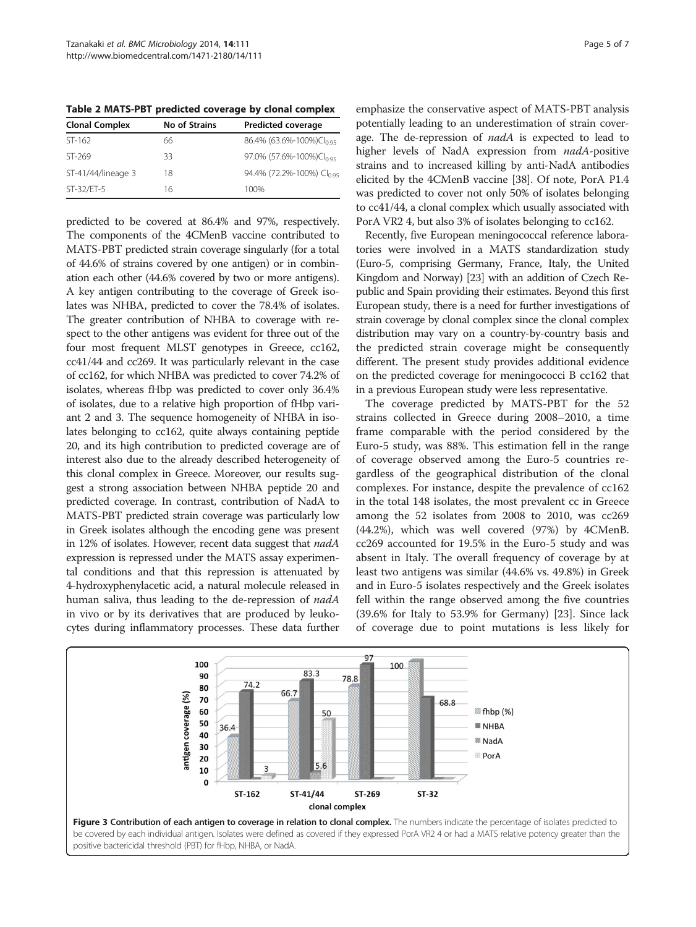<span id="page-4-0"></span>Table 2 MATS-PBT predicted coverage by clonal complex

| <b>Clonal Complex</b> | <b>No of Strains</b> | Predicted coverage                      |
|-----------------------|----------------------|-----------------------------------------|
| ST-162                | 66                   | $86.4\%$ (63.6%-100%)Cl <sub>0.95</sub> |
| ST-269                | 33                   | 97.0% (57.6%-100%)Closs                 |
| ST-41/44/lineage 3    | 18                   | 94.4% (72.2%-100%) Closs                |
| ST-32/ET-5            | 16                   | 100%                                    |

predicted to be covered at 86.4% and 97%, respectively. The components of the 4CMenB vaccine contributed to MATS-PBT predicted strain coverage singularly (for a total of 44.6% of strains covered by one antigen) or in combination each other (44.6% covered by two or more antigens). A key antigen contributing to the coverage of Greek isolates was NHBA, predicted to cover the 78.4% of isolates. The greater contribution of NHBA to coverage with respect to the other antigens was evident for three out of the four most frequent MLST genotypes in Greece, cc162, cc41/44 and cc269. It was particularly relevant in the case of cc162, for which NHBA was predicted to cover 74.2% of isolates, whereas fHbp was predicted to cover only 36.4% of isolates, due to a relative high proportion of fHbp variant 2 and 3. The sequence homogeneity of NHBA in isolates belonging to cc162, quite always containing peptide 20, and its high contribution to predicted coverage are of interest also due to the already described heterogeneity of this clonal complex in Greece. Moreover, our results suggest a strong association between NHBA peptide 20 and predicted coverage. In contrast, contribution of NadA to MATS-PBT predicted strain coverage was particularly low in Greek isolates although the encoding gene was present in 12% of isolates. However, recent data suggest that nadA expression is repressed under the MATS assay experimental conditions and that this repression is attenuated by 4-hydroxyphenylacetic acid, a natural molecule released in human saliva, thus leading to the de-repression of *nadA* in vivo or by its derivatives that are produced by leukocytes during inflammatory processes. These data further

emphasize the conservative aspect of MATS-PBT analysis potentially leading to an underestimation of strain coverage. The de-repression of nadA is expected to lead to higher levels of NadA expression from *nadA*-positive strains and to increased killing by anti-NadA antibodies elicited by the 4CMenB vaccine [\[38\]](#page-6-0). Of note, PorA P1.4 was predicted to cover not only 50% of isolates belonging to cc41/44, a clonal complex which usually associated with PorA VR2 4, but also 3% of isolates belonging to cc162.

Recently, five European meningococcal reference laboratories were involved in a MATS standardization study (Euro-5, comprising Germany, France, Italy, the United Kingdom and Norway) [\[23\]](#page-6-0) with an addition of Czech Republic and Spain providing their estimates. Beyond this first European study, there is a need for further investigations of strain coverage by clonal complex since the clonal complex distribution may vary on a country-by-country basis and the predicted strain coverage might be consequently different. The present study provides additional evidence on the predicted coverage for meningococci B cc162 that in a previous European study were less representative.

The coverage predicted by MATS-PBT for the 52 strains collected in Greece during 2008–2010, a time frame comparable with the period considered by the Euro-5 study, was 88%. This estimation fell in the range of coverage observed among the Euro-5 countries regardless of the geographical distribution of the clonal complexes. For instance, despite the prevalence of cc162 in the total 148 isolates, the most prevalent cc in Greece among the 52 isolates from 2008 to 2010, was cc269 (44.2%), which was well covered (97%) by 4CMenB. cc269 accounted for 19.5% in the Euro-5 study and was absent in Italy. The overall frequency of coverage by at least two antigens was similar (44.6% vs. 49.8%) in Greek and in Euro-5 isolates respectively and the Greek isolates fell within the range observed among the five countries (39.6% for Italy to 53.9% for Germany) [\[23](#page-6-0)]. Since lack of coverage due to point mutations is less likely for

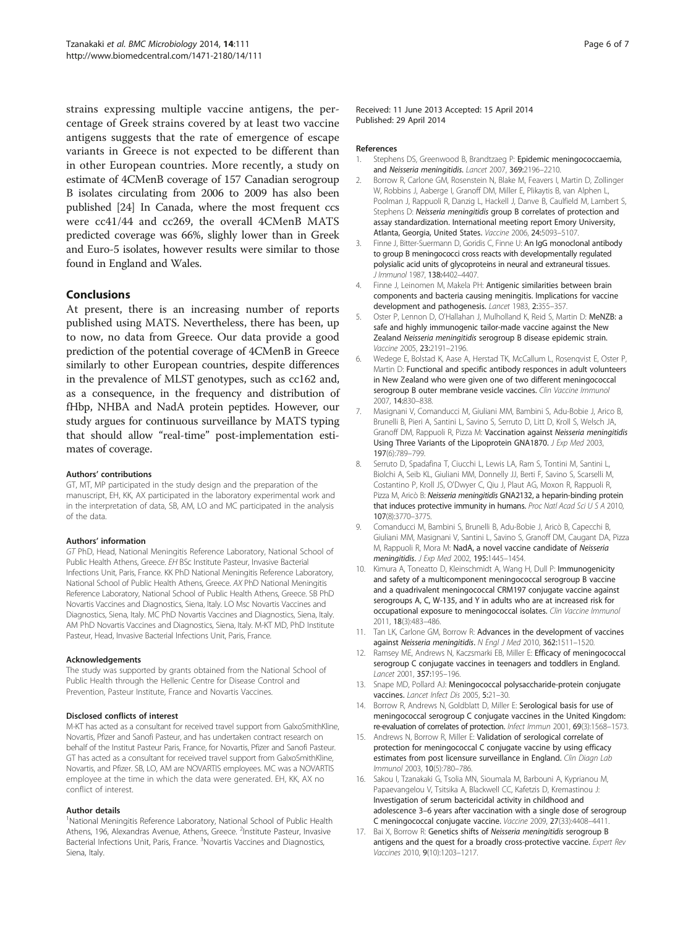<span id="page-5-0"></span>strains expressing multiple vaccine antigens, the percentage of Greek strains covered by at least two vaccine antigens suggests that the rate of emergence of escape variants in Greece is not expected to be different than in other European countries. More recently, a study on estimate of 4CMenB coverage of 157 Canadian serogroup B isolates circulating from 2006 to 2009 has also been published [[24\]](#page-6-0) In Canada, where the most frequent ccs were cc41/44 and cc269, the overall 4CMenB MATS predicted coverage was 66%, slighly lower than in Greek and Euro-5 isolates, however results were similar to those found in England and Wales.

#### Conclusions

At present, there is an increasing number of reports published using MATS. Nevertheless, there has been, up to now, no data from Greece. Our data provide a good prediction of the potential coverage of 4CMenB in Greece similarly to other European countries, despite differences in the prevalence of MLST genotypes, such as cc162 and, as a consequence, in the frequency and distribution of fHbp, NHBA and NadA protein peptides. However, our study argues for continuous surveillance by MATS typing that should allow "real-time" post-implementation estimates of coverage.

#### Authors' contributions

GT, MT, MP participated in the study design and the preparation of the manuscript, EH, KK, AX participated in the laboratory experimental work and in the interpretation of data, SB, AM, LO and MC participated in the analysis of the data.

#### Authors' information

GT PhD, Head, National Meningitis Reference Laboratory, National School of Public Health Athens, Greece. EH BSc Institute Pasteur, Invasive Bacterial Infections Unit, Paris, France. KK PhD National Meningitis Reference Laboratory, National School of Public Health Athens, Greece. AX PhD National Meningitis Reference Laboratory, National School of Public Health Athens, Greece. SB PhD Novartis Vaccines and Diagnostics, Siena, Italy. LO Msc Novartis Vaccines and Diagnostics, Siena, Italy. MC PhD Novartis Vaccines and Diagnostics, Siena, Italy. AM PhD Novartis Vaccines and Diagnostics, Siena, Italy. M-KT MD, PhD Institute Pasteur, Head, Invasive Bacterial Infections Unit, Paris, France.

#### Acknowledgements

The study was supported by grants obtained from the National School of Public Health through the Hellenic Centre for Disease Control and Prevention, Pasteur Institute, France and Novartis Vaccines.

#### Disclosed conflicts of interest

M-KT has acted as a consultant for received travel support from GalxoSmithKline, Novartis, Pfizer and Sanofi Pasteur, and has undertaken contract research on behalf of the Institut Pasteur Paris, France, for Novartis, Pfizer and Sanofi Pasteur. GT has acted as a consultant for received travel support from GalxoSmithKline, Novartis, and Pfizer. SB, LO, AM are NOVARTIS employees. MC was a NOVARTIS employee at the time in which the data were generated. EH, KK, AX no conflict of interest.

#### Author details

<sup>1</sup>National Meningitis Reference Laboratory, National School of Public Health Athens, 196, Alexandras Avenue, Athens, Greece. <sup>2</sup>Institute Pasteur, Invasive Bacterial Infections Unit, Paris, France. <sup>3</sup>Novartis Vaccines and Diagnostics, Siena, Italy.

Received: 11 June 2013 Accepted: 15 April 2014 Published: 29 April 2014

#### References

- 1. Stephens DS, Greenwood B, Brandtzaeg P: Epidemic meningococcaemia, and Neisseria meningitidis. Lancet 2007, 369:2196–2210.
- 2. Borrow R, Carlone GM, Rosenstein N, Blake M, Feavers I, Martin D, Zollinger W, Robbins J, Aaberge I, Granoff DM, Miller E, Plikaytis B, van Alphen L, Poolman J, Rappuoli R, Danzig L, Hackell J, Danve B, Caulfield M, Lambert S, Stephens D: Neisseria meningitidis group B correlates of protection and assay standardization. International meeting report Emory University, Atlanta, Georgia, United States. Vaccine 2006, 24:5093–5107.
- 3. Finne J, Bitter-Suermann D, Goridis C, Finne U: An IgG monoclonal antibody to group B meningococci cross reacts with developmentally regulated polysialic acid units of glycoproteins in neural and extraneural tissues. J Immunol 1987, 138:4402–4407.
- 4. Finne J, Leinomen M, Makela PH: Antigenic similarities between brain components and bacteria causing meningitis. Implications for vaccine development and pathogenesis. Lancet 1983, 2:355–357.
- 5. Oster P, Lennon D, O'Hallahan J, Mulholland K, Reid S, Martin D: MeNZB: a safe and highly immunogenic tailor-made vaccine against the New Zealand Neisseria meningitidis serogroup B disease epidemic strain. Vaccine 2005, 23:2191–2196.
- 6. Wedege E, Bolstad K, Aase A, Herstad TK, McCallum L, Rosenqvist E, Oster P, Martin D: Functional and specific antibody responces in adult volunteers in New Zealand who were given one of two different meningococcal serogroup B outer membrane vesicle vaccines. Clin Vaccine Immunol 2007, 14:830–838.
- 7. Masignani V, Comanducci M, Giuliani MM, Bambini S, Adu-Bobie J, Arico B, Brunelli B, Pieri A, Santini L, Savino S, Serruto D, Litt D, Kroll S, Welsch JA, Granoff DM, Rappuoli R, Pizza M: Vaccination against Neisseria meningitidis Using Three Variants of the Lipoprotein GNA1870. J Exp Med 2003, 197(6):789–799.
- 8. Serruto D, Spadafina T, Ciucchi L, Lewis LA, Ram S, Tontini M, Santini L, Biolchi A, Seib KL, Giuliani MM, Donnelly JJ, Berti F, Savino S, Scarselli M, Costantino P, Kroll JS, O'Dwyer C, Qiu J, Plaut AG, Moxon R, Rappuoli R, Pizza M, Aricò B: Neisseria meningitidis GNA2132, a heparin-binding protein that induces protective immunity in humans. Proc Natl Acad Sci U S A 2010, 107(8):3770–3775.
- 9. Comanducci M, Bambini S, Brunelli B, Adu-Bobie J, Aricò B, Capecchi B, Giuliani MM, Masignani V, Santini L, Savino S, Granoff DM, Caugant DA, Pizza M, Rappuoli R, Mora M: NadA, a novel vaccine candidate of Neisseria meningitidis. J Exp Med 2002, 195:1445–1454.
- 10. Kimura A, Toneatto D, Kleinschmidt A, Wang H, Dull P: Immunogenicity and safety of a multicomponent meningococcal serogroup B vaccine and a quadrivalent meningococcal CRM197 conjugate vaccine against serogroups A, C, W-135, and Y in adults who are at increased risk for occupational exposure to meningococcal isolates. Clin Vaccine Immunol 2011, 18(3):483–486.
- 11. Tan LK, Carlone GM, Borrow R: Advances in the development of vaccines against Neisseria meningitidis. N Engl J Med 2010, 362:1511-1520.
- 12. Ramsey ME, Andrews N, Kaczsmarki EB, Miller E: Efficacy of meningococcal serogroup C conjugate vaccines in teenagers and toddlers in England. Lancet 2001, 357:195–196.
- 13. Snape MD, Pollard AJ: Meningococcal polysaccharide-protein conjugate vaccines. Lancet Infect Dis 2005, 5:21-30.
- 14. Borrow R, Andrews N, Goldblatt D, Miller E: Serological basis for use of meningococcal serogroup C conjugate vaccines in the United Kingdom: re-evaluation of correlates of protection. Infect Immun 2001, 69(3):1568–1573.
- 15. Andrews N, Borrow R, Miller E: Validation of serological correlate of protection for meningococcal C conjugate vaccine by using efficacy estimates from post licensure surveillance in England. Clin Diagn Lab Immunol 2003, 10(5):780–786.
- 16. Sakou I, Tzanakaki G, Tsolia MN, Sioumala M, Barbouni A, Kyprianou M, Papaevangelou V, Tsitsika A, Blackwell CC, Kafetzis D, Kremastinou J: Investigation of serum bactericidal activity in childhood and adolescence 3–6 years after vaccination with a single dose of serogroup C meningococcal conjugate vaccine. Vaccine 2009, 27(33):4408-4411.
- 17. Bai X, Borrow R: Genetics shifts of Neisseria meningitidis serogroup B antigens and the quest for a broadly cross-protective vaccine. Expert Rev Vaccines 2010, 9(10):1203–1217.